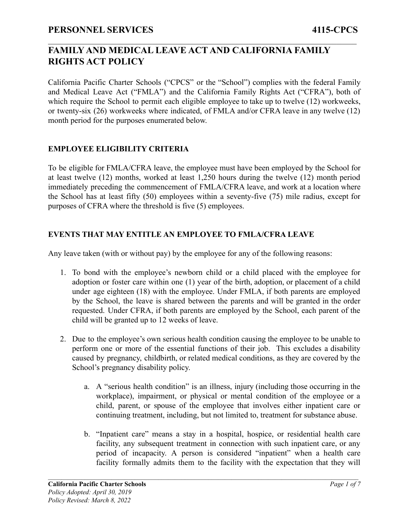California Pacific Charter Schools ("CPCS" or the "School") complies with the federal Family and Medical Leave Act ("FMLA") and the California Family Rights Act ("CFRA"), both of which require the School to permit each eligible employee to take up to twelve (12) workweeks, or twenty-six (26) workweeks where indicated, of FMLA and/or CFRA leave in any twelve (12) month period for the purposes enumerated below.

 $\mathcal{L}_\mathcal{L} = \{ \mathcal{L}_\mathcal{L} = \{ \mathcal{L}_\mathcal{L} = \{ \mathcal{L}_\mathcal{L} = \{ \mathcal{L}_\mathcal{L} = \{ \mathcal{L}_\mathcal{L} = \{ \mathcal{L}_\mathcal{L} = \{ \mathcal{L}_\mathcal{L} = \{ \mathcal{L}_\mathcal{L} = \{ \mathcal{L}_\mathcal{L} = \{ \mathcal{L}_\mathcal{L} = \{ \mathcal{L}_\mathcal{L} = \{ \mathcal{L}_\mathcal{L} = \{ \mathcal{L}_\mathcal{L} = \{ \mathcal{L}_\mathcal{$ 

### **EMPLOYEE ELIGIBILITY CRITERIA**

To be eligible for FMLA/CFRA leave, the employee must have been employed by the School for at least twelve (12) months, worked at least 1,250 hours during the twelve (12) month period immediately preceding the commencement of FMLA/CFRA leave, and work at a location where the School has at least fifty (50) employees within a seventy-five (75) mile radius, except for purposes of CFRA where the threshold is five (5) employees.

### **EVENTS THAT MAY ENTITLE AN EMPLOYEE TO FMLA/CFRA LEAVE**

Any leave taken (with or without pay) by the employee for any of the following reasons:

- 1. To bond with the employee's newborn child or a child placed with the employee for adoption or foster care within one (1) year of the birth, adoption, or placement of a child under age eighteen (18) with the employee. Under FMLA, if both parents are employed by the School, the leave is shared between the parents and will be granted in the order requested. Under CFRA, if both parents are employed by the School, each parent of the child will be granted up to 12 weeks of leave.
- 2. Due to the employee's own serious health condition causing the employee to be unable to perform one or more of the essential functions of their job. This excludes a disability caused by pregnancy, childbirth, or related medical conditions, as they are covered by the School's pregnancy disability policy.
	- a. A "serious health condition" is an illness, injury (including those occurring in the workplace), impairment, or physical or mental condition of the employee or a child, parent, or spouse of the employee that involves either inpatient care or continuing treatment, including, but not limited to, treatment for substance abuse.
	- b. "Inpatient care" means a stay in a hospital, hospice, or residential health care facility, any subsequent treatment in connection with such inpatient care, or any period of incapacity. A person is considered "inpatient" when a health care facility formally admits them to the facility with the expectation that they will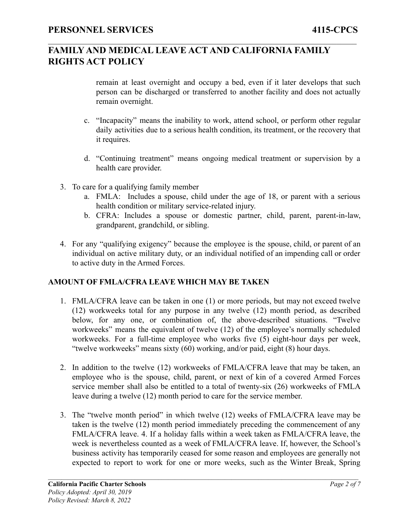$\mathcal{L}_\mathcal{L} = \{ \mathcal{L}_\mathcal{L} = \{ \mathcal{L}_\mathcal{L} = \{ \mathcal{L}_\mathcal{L} = \{ \mathcal{L}_\mathcal{L} = \{ \mathcal{L}_\mathcal{L} = \{ \mathcal{L}_\mathcal{L} = \{ \mathcal{L}_\mathcal{L} = \{ \mathcal{L}_\mathcal{L} = \{ \mathcal{L}_\mathcal{L} = \{ \mathcal{L}_\mathcal{L} = \{ \mathcal{L}_\mathcal{L} = \{ \mathcal{L}_\mathcal{L} = \{ \mathcal{L}_\mathcal{L} = \{ \mathcal{L}_\mathcal{$ 

remain at least overnight and occupy a bed, even if it later develops that such person can be discharged or transferred to another facility and does not actually remain overnight.

- c. "Incapacity" means the inability to work, attend school, or perform other regular daily activities due to a serious health condition, its treatment, or the recovery that it requires.
- d. "Continuing treatment" means ongoing medical treatment or supervision by a health care provider.
- 3. To care for a qualifying family member
	- a. FMLA: Includes a spouse, child under the age of 18, or parent with a serious health condition or military service-related injury.
	- b. CFRA: Includes a spouse or domestic partner, child, parent, parent-in-law, grandparent, grandchild, or sibling.
- 4. For any "qualifying exigency" because the employee is the spouse, child, or parent of an individual on active military duty, or an individual notified of an impending call or order to active duty in the Armed Forces.

### **AMOUNT OF FMLA/CFRA LEAVE WHICH MAY BE TAKEN**

- 1. FMLA/CFRA leave can be taken in one (1) or more periods, but may not exceed twelve (12) workweeks total for any purpose in any twelve (12) month period, as described below, for any one, or combination of, the above-described situations. "Twelve workweeks" means the equivalent of twelve (12) of the employee's normally scheduled workweeks. For a full-time employee who works five (5) eight-hour days per week, "twelve workweeks" means sixty (60) working, and/or paid, eight (8) hour days.
- 2. In addition to the twelve (12) workweeks of FMLA/CFRA leave that may be taken, an employee who is the spouse, child, parent, or next of kin of a covered Armed Forces service member shall also be entitled to a total of twenty-six (26) workweeks of FMLA leave during a twelve (12) month period to care for the service member.
- 3. The "twelve month period" in which twelve (12) weeks of FMLA/CFRA leave may be taken is the twelve (12) month period immediately preceding the commencement of any FMLA/CFRA leave. 4. If a holiday falls within a week taken as FMLA/CFRA leave, the week is nevertheless counted as a week of FMLA/CFRA leave. If, however, the School's business activity has temporarily ceased for some reason and employees are generally not expected to report to work for one or more weeks, such as the Winter Break, Spring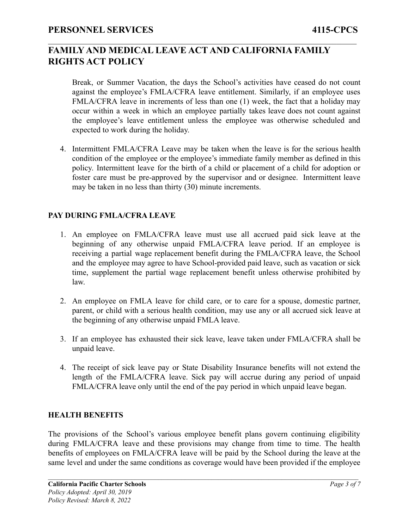$\mathcal{L}_\mathcal{L} = \{ \mathcal{L}_\mathcal{L} = \{ \mathcal{L}_\mathcal{L} = \{ \mathcal{L}_\mathcal{L} = \{ \mathcal{L}_\mathcal{L} = \{ \mathcal{L}_\mathcal{L} = \{ \mathcal{L}_\mathcal{L} = \{ \mathcal{L}_\mathcal{L} = \{ \mathcal{L}_\mathcal{L} = \{ \mathcal{L}_\mathcal{L} = \{ \mathcal{L}_\mathcal{L} = \{ \mathcal{L}_\mathcal{L} = \{ \mathcal{L}_\mathcal{L} = \{ \mathcal{L}_\mathcal{L} = \{ \mathcal{L}_\mathcal{$ 

Break, or Summer Vacation, the days the School's activities have ceased do not count against the employee's FMLA/CFRA leave entitlement. Similarly, if an employee uses FMLA/CFRA leave in increments of less than one (1) week, the fact that a holiday may occur within a week in which an employee partially takes leave does not count against the employee's leave entitlement unless the employee was otherwise scheduled and expected to work during the holiday.

4. Intermittent FMLA/CFRA Leave may be taken when the leave is for the serious health condition of the employee or the employee's immediate family member as defined in this policy. Intermittent leave for the birth of a child or placement of a child for adoption or foster care must be pre-approved by the supervisor and or designee. Intermittent leave may be taken in no less than thirty (30) minute increments.

### **PAY DURING FMLA/CFRA LEAVE**

- 1. An employee on FMLA/CFRA leave must use all accrued paid sick leave at the beginning of any otherwise unpaid FMLA/CFRA leave period. If an employee is receiving a partial wage replacement benefit during the FMLA/CFRA leave, the School and the employee may agree to have School-provided paid leave, such as vacation or sick time, supplement the partial wage replacement benefit unless otherwise prohibited by law.
- 2. An employee on FMLA leave for child care, or to care for a spouse, domestic partner, parent, or child with a serious health condition, may use any or all accrued sick leave at the beginning of any otherwise unpaid FMLA leave.
- 3. If an employee has exhausted their sick leave, leave taken under FMLA/CFRA shall be unpaid leave.
- 4. The receipt of sick leave pay or State Disability Insurance benefits will not extend the length of the FMLA/CFRA leave. Sick pay will accrue during any period of unpaid FMLA/CFRA leave only until the end of the pay period in which unpaid leave began.

#### **HEALTH BENEFITS**

The provisions of the School's various employee benefit plans govern continuing eligibility during FMLA/CFRA leave and these provisions may change from time to time. The health benefits of employees on FMLA/CFRA leave will be paid by the School during the leave at the same level and under the same conditions as coverage would have been provided if the employee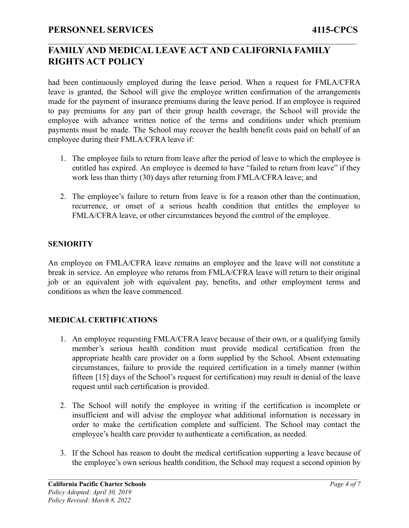$\mathcal{L}_\mathcal{L} = \{ \mathcal{L}_\mathcal{L} = \{ \mathcal{L}_\mathcal{L} = \{ \mathcal{L}_\mathcal{L} = \{ \mathcal{L}_\mathcal{L} = \{ \mathcal{L}_\mathcal{L} = \{ \mathcal{L}_\mathcal{L} = \{ \mathcal{L}_\mathcal{L} = \{ \mathcal{L}_\mathcal{L} = \{ \mathcal{L}_\mathcal{L} = \{ \mathcal{L}_\mathcal{L} = \{ \mathcal{L}_\mathcal{L} = \{ \mathcal{L}_\mathcal{L} = \{ \mathcal{L}_\mathcal{L} = \{ \mathcal{L}_\mathcal{$ 

had been continuously employed during the leave period. When a request for FMLA/CFRA leave is granted, the School will give the employee written confirmation of the arrangements made for the payment of insurance premiums during the leave period. If an employee is required to pay premiums for any part of their group health coverage, the School will provide the employee with advance written notice of the terms and conditions under which premium payments must be made. The School may recover the health benefit costs paid on behalf of an employee during their FMLA/CFRA leave if:

- 1. The employee fails to return from leave after the period of leave to which the employee is entitled has expired. An employee is deemed to have "failed to return from leave" if they work less than thirty (30) days after returning from FMLA/CFRA leave; and
- 2. The employee's failure to return from leave is for a reason other than the continuation, recurrence, or onset of a serious health condition that entitles the employee to FMLA/CFRA leave, or other circumstances beyond the control of the employee.

### **SENIORITY**

An employee on FMLA/CFRA leave remains an employee and the leave will not constitute a break in service. An employee who returns from FMLA/CFRA leave will return to their original job or an equivalent job with equivalent pay, benefits, and other employment terms and conditions as when the leave commenced.

### **MEDICAL CERTIFICATIONS**

- 1. An employee requesting FMLA/CFRA leave because of their own, or a qualifying family member's serious health condition must provide medical certification from the appropriate health care provider on a form supplied by the School. Absent extenuating circumstances, failure to provide the required certification in a timely manner (within fifteen [15] days of the School's request for certification) may result in denial of the leave request until such certification is provided.
- 2. The School will notify the employee in writing if the certification is incomplete or insufficient and will advise the employee what additional information is necessary in order to make the certification complete and sufficient. The School may contact the employee's health care provider to authenticate a certification, as needed.
- 3. If the School has reason to doubt the medical certification supporting a leave because of the employee's own serious health condition, the School may request a second opinion by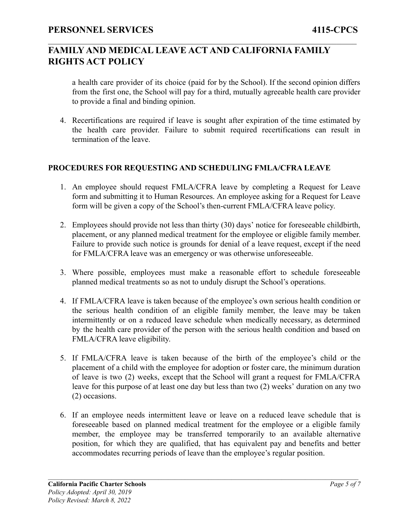$\mathcal{L}_\mathcal{L} = \{ \mathcal{L}_\mathcal{L} = \{ \mathcal{L}_\mathcal{L} = \{ \mathcal{L}_\mathcal{L} = \{ \mathcal{L}_\mathcal{L} = \{ \mathcal{L}_\mathcal{L} = \{ \mathcal{L}_\mathcal{L} = \{ \mathcal{L}_\mathcal{L} = \{ \mathcal{L}_\mathcal{L} = \{ \mathcal{L}_\mathcal{L} = \{ \mathcal{L}_\mathcal{L} = \{ \mathcal{L}_\mathcal{L} = \{ \mathcal{L}_\mathcal{L} = \{ \mathcal{L}_\mathcal{L} = \{ \mathcal{L}_\mathcal{$ 

a health care provider of its choice (paid for by the School). If the second opinion differs from the first one, the School will pay for a third, mutually agreeable health care provider to provide a final and binding opinion.

4. Recertifications are required if leave is sought after expiration of the time estimated by the health care provider. Failure to submit required recertifications can result in termination of the leave.

### **PROCEDURES FOR REQUESTING AND SCHEDULING FMLA/CFRA LEAVE**

- 1. An employee should request FMLA/CFRA leave by completing a Request for Leave form and submitting it to Human Resources. An employee asking for a Request for Leave form will be given a copy of the School's then-current FMLA/CFRA leave policy.
- 2. Employees should provide not less than thirty (30) days' notice for foreseeable childbirth, placement, or any planned medical treatment for the employee or eligible family member. Failure to provide such notice is grounds for denial of a leave request, except if the need for FMLA/CFRA leave was an emergency or was otherwise unforeseeable.
- 3. Where possible, employees must make a reasonable effort to schedule foreseeable planned medical treatments so as not to unduly disrupt the School's operations.
- 4. If FMLA/CFRA leave is taken because of the employee's own serious health condition or the serious health condition of an eligible family member, the leave may be taken intermittently or on a reduced leave schedule when medically necessary, as determined by the health care provider of the person with the serious health condition and based on FMLA/CFRA leave eligibility.
- 5. If FMLA/CFRA leave is taken because of the birth of the employee's child or the placement of a child with the employee for adoption or foster care, the minimum duration of leave is two (2) weeks, except that the School will grant a request for FMLA/CFRA leave for this purpose of at least one day but less than two (2) weeks' duration on any two (2) occasions.
- 6. If an employee needs intermittent leave or leave on a reduced leave schedule that is foreseeable based on planned medical treatment for the employee or a eligible family member, the employee may be transferred temporarily to an available alternative position, for which they are qualified, that has equivalent pay and benefits and better accommodates recurring periods of leave than the employee's regular position.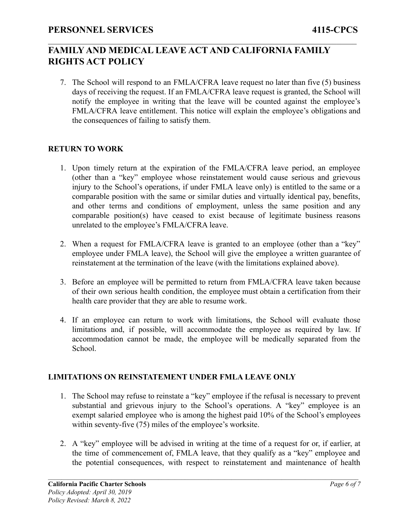$\mathcal{L}_\mathcal{L} = \{ \mathcal{L}_\mathcal{L} = \{ \mathcal{L}_\mathcal{L} = \{ \mathcal{L}_\mathcal{L} = \{ \mathcal{L}_\mathcal{L} = \{ \mathcal{L}_\mathcal{L} = \{ \mathcal{L}_\mathcal{L} = \{ \mathcal{L}_\mathcal{L} = \{ \mathcal{L}_\mathcal{L} = \{ \mathcal{L}_\mathcal{L} = \{ \mathcal{L}_\mathcal{L} = \{ \mathcal{L}_\mathcal{L} = \{ \mathcal{L}_\mathcal{L} = \{ \mathcal{L}_\mathcal{L} = \{ \mathcal{L}_\mathcal{$ 

7. The School will respond to an FMLA/CFRA leave request no later than five (5) business days of receiving the request. If an FMLA/CFRA leave request is granted, the School will notify the employee in writing that the leave will be counted against the employee's FMLA/CFRA leave entitlement. This notice will explain the employee's obligations and the consequences of failing to satisfy them.

### **RETURN TO WORK**

- 1. Upon timely return at the expiration of the FMLA/CFRA leave period, an employee (other than a "key" employee whose reinstatement would cause serious and grievous injury to the School's operations, if under FMLA leave only) is entitled to the same or a comparable position with the same or similar duties and virtually identical pay, benefits, and other terms and conditions of employment, unless the same position and any comparable position(s) have ceased to exist because of legitimate business reasons unrelated to the employee's FMLA/CFRA leave.
- 2. When a request for FMLA/CFRA leave is granted to an employee (other than a "key" employee under FMLA leave), the School will give the employee a written guarantee of reinstatement at the termination of the leave (with the limitations explained above).
- 3. Before an employee will be permitted to return from FMLA/CFRA leave taken because of their own serious health condition, the employee must obtain a certification from their health care provider that they are able to resume work.
- 4. If an employee can return to work with limitations, the School will evaluate those limitations and, if possible, will accommodate the employee as required by law. If accommodation cannot be made, the employee will be medically separated from the School.

### **LIMITATIONS ON REINSTATEMENT UNDER FMLA LEAVE ONLY**

- 1. The School may refuse to reinstate a "key" employee if the refusal is necessary to prevent substantial and grievous injury to the School's operations. A "key" employee is an exempt salaried employee who is among the highest paid 10% of the School's employees within seventy-five (75) miles of the employee's worksite.
- 2. A "key" employee will be advised in writing at the time of a request for or, if earlier, at the time of commencement of, FMLA leave, that they qualify as a "key" employee and the potential consequences, with respect to reinstatement and maintenance of health